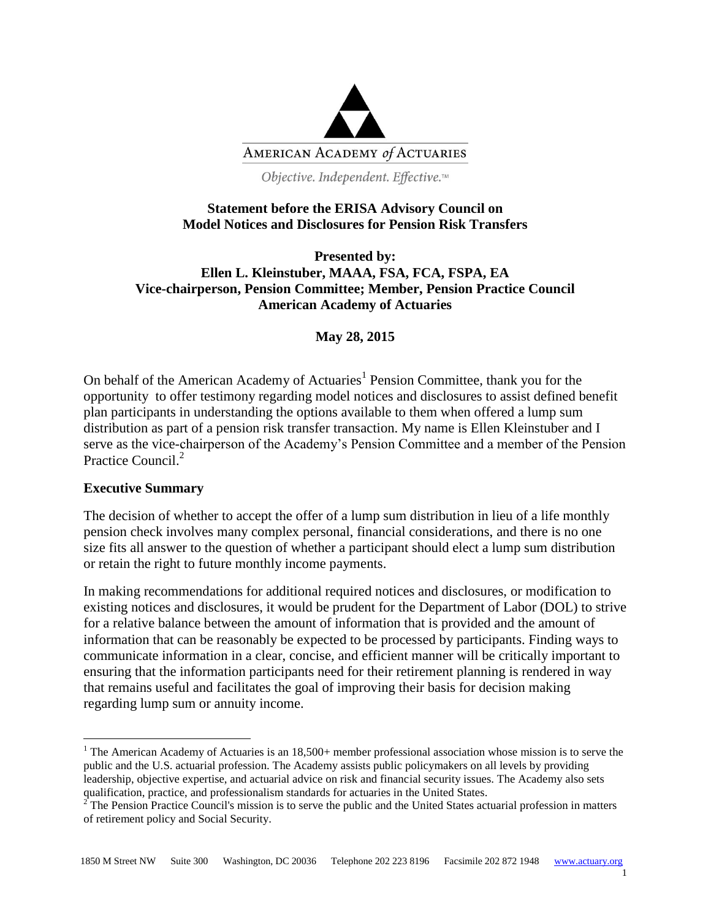

Objective. Independent. Effective.™

## **Statement before the ERISA Advisory Council on Model Notices and Disclosures for Pension Risk Transfers**

**Presented by: Ellen L. Kleinstuber, MAAA, FSA, FCA, FSPA, EA Vice-chairperson, Pension Committee; Member, Pension Practice Council American Academy of Actuaries**

**May 28, 2015**

On behalf of the American Academy of Actuaries<sup>1</sup> Pension Committee, thank you for the opportunity to offer testimony regarding model notices and disclosures to assist defined benefit plan participants in understanding the options available to them when offered a lump sum distribution as part of a pension risk transfer transaction. My name is Ellen Kleinstuber and I serve as the vice-chairperson of the Academy's Pension Committee and a member of the Pension Practice Council.<sup>2</sup>

## **Executive Summary**

 $\overline{a}$ 

The decision of whether to accept the offer of a lump sum distribution in lieu of a life monthly pension check involves many complex personal, financial considerations, and there is no one size fits all answer to the question of whether a participant should elect a lump sum distribution or retain the right to future monthly income payments.

In making recommendations for additional required notices and disclosures, or modification to existing notices and disclosures, it would be prudent for the Department of Labor (DOL) to strive for a relative balance between the amount of information that is provided and the amount of information that can be reasonably be expected to be processed by participants. Finding ways to communicate information in a clear, concise, and efficient manner will be critically important to ensuring that the information participants need for their retirement planning is rendered in way that remains useful and facilitates the goal of improving their basis for decision making regarding lump sum or annuity income.

1

<sup>&</sup>lt;sup>1</sup> The American Academy of Actuaries is an  $18,500+$  member professional association whose mission is to serve the public and the U.S. actuarial profession. The Academy assists public policymakers on all levels by providing leadership, objective expertise, and actuarial advice on risk and financial security issues. The Academy also sets qualification, practice, and professionalism standards for actuaries in the United States.

 $2^{\degree}$ The Pension Practice Council's mission is to serve the public and the United States actuarial profession in matters of retirement policy and Social Security.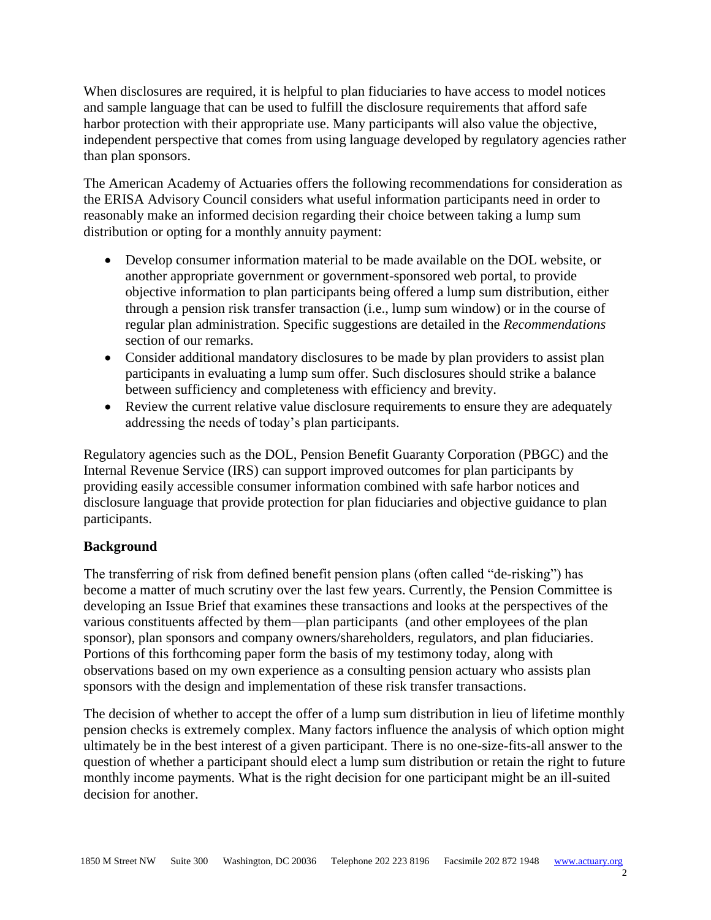When disclosures are required, it is helpful to plan fiduciaries to have access to model notices and sample language that can be used to fulfill the disclosure requirements that afford safe harbor protection with their appropriate use. Many participants will also value the objective, independent perspective that comes from using language developed by regulatory agencies rather than plan sponsors.

The American Academy of Actuaries offers the following recommendations for consideration as the ERISA Advisory Council considers what useful information participants need in order to reasonably make an informed decision regarding their choice between taking a lump sum distribution or opting for a monthly annuity payment:

- Develop consumer information material to be made available on the DOL website, or another appropriate government or government-sponsored web portal, to provide objective information to plan participants being offered a lump sum distribution, either through a pension risk transfer transaction (i.e., lump sum window) or in the course of regular plan administration. Specific suggestions are detailed in the *Recommendations* section of our remarks.
- Consider additional mandatory disclosures to be made by plan providers to assist plan participants in evaluating a lump sum offer. Such disclosures should strike a balance between sufficiency and completeness with efficiency and brevity.
- Review the current relative value disclosure requirements to ensure they are adequately addressing the needs of today's plan participants.

Regulatory agencies such as the DOL, Pension Benefit Guaranty Corporation (PBGC) and the Internal Revenue Service (IRS) can support improved outcomes for plan participants by providing easily accessible consumer information combined with safe harbor notices and disclosure language that provide protection for plan fiduciaries and objective guidance to plan participants.

## **Background**

The transferring of risk from defined benefit pension plans (often called "de-risking") has become a matter of much scrutiny over the last few years. Currently, the Pension Committee is developing an Issue Brief that examines these transactions and looks at the perspectives of the various constituents affected by them—plan participants (and other employees of the plan sponsor), plan sponsors and company owners/shareholders, regulators, and plan fiduciaries. Portions of this forthcoming paper form the basis of my testimony today, along with observations based on my own experience as a consulting pension actuary who assists plan sponsors with the design and implementation of these risk transfer transactions.

The decision of whether to accept the offer of a lump sum distribution in lieu of lifetime monthly pension checks is extremely complex. Many factors influence the analysis of which option might ultimately be in the best interest of a given participant. There is no one-size-fits-all answer to the question of whether a participant should elect a lump sum distribution or retain the right to future monthly income payments. What is the right decision for one participant might be an ill-suited decision for another.

 $\mathcal{L}$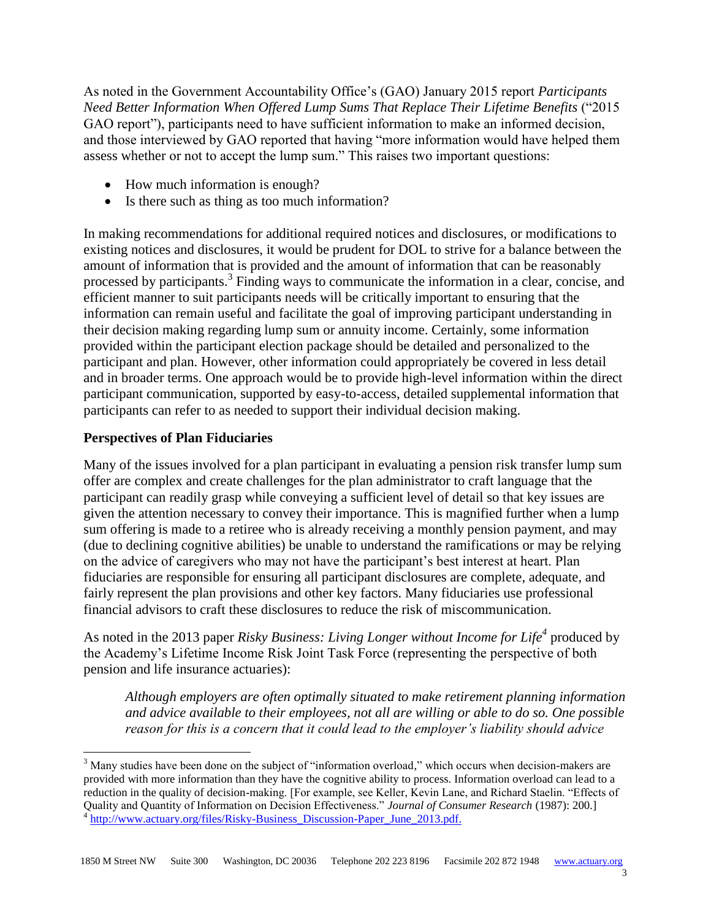As noted in the Government Accountability Office's (GAO) January 2015 report *Participants Need Better Information When Offered Lump Sums That Replace Their Lifetime Benefits* ("2015 GAO report"), participants need to have sufficient information to make an informed decision, and those interviewed by GAO reported that having "more information would have helped them assess whether or not to accept the lump sum." This raises two important questions:

- How much information is enough?
- Is there such as thing as too much information?

In making recommendations for additional required notices and disclosures, or modifications to existing notices and disclosures, it would be prudent for DOL to strive for a balance between the amount of information that is provided and the amount of information that can be reasonably processed by participants.<sup>3</sup> Finding ways to communicate the information in a clear, concise, and efficient manner to suit participants needs will be critically important to ensuring that the information can remain useful and facilitate the goal of improving participant understanding in their decision making regarding lump sum or annuity income. Certainly, some information provided within the participant election package should be detailed and personalized to the participant and plan. However, other information could appropriately be covered in less detail and in broader terms. One approach would be to provide high-level information within the direct participant communication, supported by easy-to-access, detailed supplemental information that participants can refer to as needed to support their individual decision making.

## **Perspectives of Plan Fiduciaries**

 $\overline{a}$ 

Many of the issues involved for a plan participant in evaluating a pension risk transfer lump sum offer are complex and create challenges for the plan administrator to craft language that the participant can readily grasp while conveying a sufficient level of detail so that key issues are given the attention necessary to convey their importance. This is magnified further when a lump sum offering is made to a retiree who is already receiving a monthly pension payment, and may (due to declining cognitive abilities) be unable to understand the ramifications or may be relying on the advice of caregivers who may not have the participant's best interest at heart. Plan fiduciaries are responsible for ensuring all participant disclosures are complete, adequate, and fairly represent the plan provisions and other key factors. Many fiduciaries use professional financial advisors to craft these disclosures to reduce the risk of miscommunication.

As noted in the 2013 paper *Risky Business: Living Longer without Income for Life<sup>4</sup>* produced by the Academy's Lifetime Income Risk Joint Task Force (representing the perspective of both pension and life insurance actuaries):

*Although employers are often optimally situated to make retirement planning information and advice available to their employees, not all are willing or able to do so. One possible reason for this is a concern that it could lead to the employer's liability should advice* 

<sup>&</sup>lt;sup>3</sup> Many studies have been done on the subject of "information overload," which occurs when decision-makers are provided with more information than they have the cognitive ability to process. Information overload can lead to a reduction in the quality of decision-making. [For example, see Keller, Kevin Lane, and Richard Staelin. "Effects of Quality and Quantity of Information on Decision Effectiveness." *Journal of Consumer Research* (1987): 200.] <sup>4</sup> [http://www.actuary.org/files/Risky-Business\\_Discussion-Paper\\_June\\_2013.pdf.](http://www.actuary.org/files/Risky-Business_Discussion-Paper_June_2013.pdf)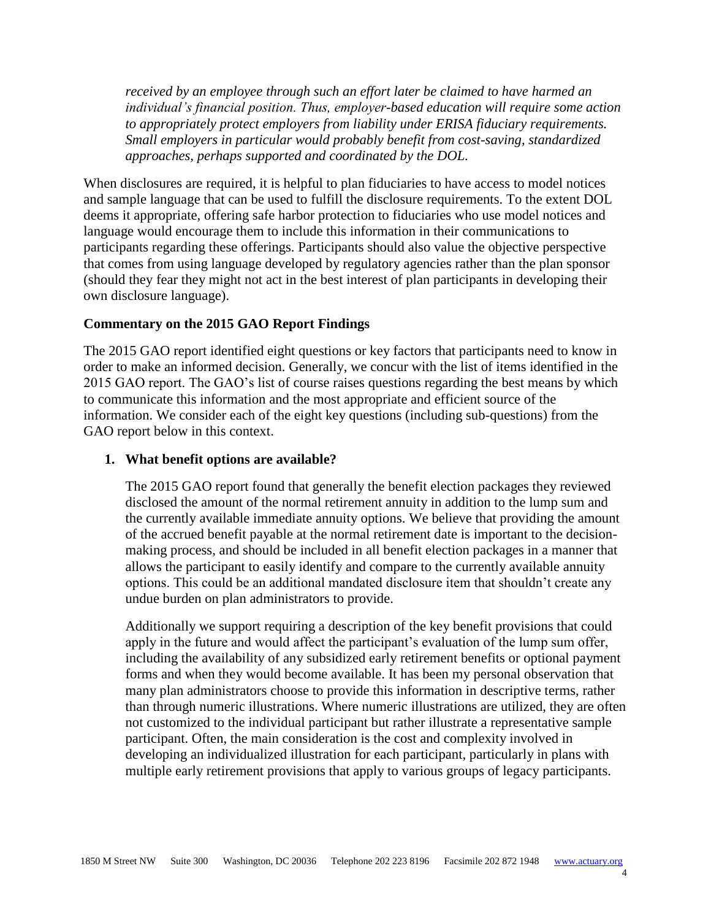*received by an employee through such an effort later be claimed to have harmed an individual's financial position. Thus, employer-based education will require some action to appropriately protect employers from liability under ERISA fiduciary requirements. Small employers in particular would probably benefit from cost-saving, standardized approaches, perhaps supported and coordinated by the DOL.*

When disclosures are required, it is helpful to plan fiduciaries to have access to model notices and sample language that can be used to fulfill the disclosure requirements. To the extent DOL deems it appropriate, offering safe harbor protection to fiduciaries who use model notices and language would encourage them to include this information in their communications to participants regarding these offerings. Participants should also value the objective perspective that comes from using language developed by regulatory agencies rather than the plan sponsor (should they fear they might not act in the best interest of plan participants in developing their own disclosure language).

#### **Commentary on the 2015 GAO Report Findings**

The 2015 GAO report identified eight questions or key factors that participants need to know in order to make an informed decision. Generally, we concur with the list of items identified in the 2015 GAO report. The GAO's list of course raises questions regarding the best means by which to communicate this information and the most appropriate and efficient source of the information. We consider each of the eight key questions (including sub-questions) from the GAO report below in this context.

#### **1. What benefit options are available?**

The 2015 GAO report found that generally the benefit election packages they reviewed disclosed the amount of the normal retirement annuity in addition to the lump sum and the currently available immediate annuity options. We believe that providing the amount of the accrued benefit payable at the normal retirement date is important to the decisionmaking process, and should be included in all benefit election packages in a manner that allows the participant to easily identify and compare to the currently available annuity options. This could be an additional mandated disclosure item that shouldn't create any undue burden on plan administrators to provide.

Additionally we support requiring a description of the key benefit provisions that could apply in the future and would affect the participant's evaluation of the lump sum offer, including the availability of any subsidized early retirement benefits or optional payment forms and when they would become available. It has been my personal observation that many plan administrators choose to provide this information in descriptive terms, rather than through numeric illustrations. Where numeric illustrations are utilized, they are often not customized to the individual participant but rather illustrate a representative sample participant. Often, the main consideration is the cost and complexity involved in developing an individualized illustration for each participant, particularly in plans with multiple early retirement provisions that apply to various groups of legacy participants.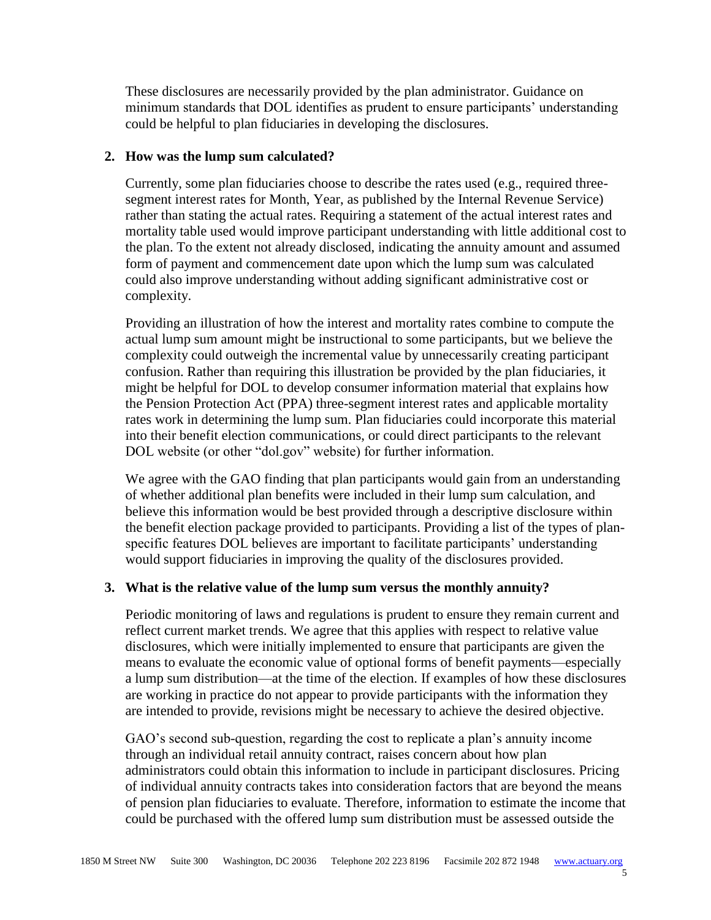These disclosures are necessarily provided by the plan administrator. Guidance on minimum standards that DOL identifies as prudent to ensure participants' understanding could be helpful to plan fiduciaries in developing the disclosures.

#### **2. How was the lump sum calculated?**

Currently, some plan fiduciaries choose to describe the rates used (e.g., required threesegment interest rates for Month, Year, as published by the Internal Revenue Service) rather than stating the actual rates. Requiring a statement of the actual interest rates and mortality table used would improve participant understanding with little additional cost to the plan. To the extent not already disclosed, indicating the annuity amount and assumed form of payment and commencement date upon which the lump sum was calculated could also improve understanding without adding significant administrative cost or complexity.

Providing an illustration of how the interest and mortality rates combine to compute the actual lump sum amount might be instructional to some participants, but we believe the complexity could outweigh the incremental value by unnecessarily creating participant confusion. Rather than requiring this illustration be provided by the plan fiduciaries, it might be helpful for DOL to develop consumer information material that explains how the Pension Protection Act (PPA) three-segment interest rates and applicable mortality rates work in determining the lump sum. Plan fiduciaries could incorporate this material into their benefit election communications, or could direct participants to the relevant DOL website (or other "dol.gov" website) for further information.

We agree with the GAO finding that plan participants would gain from an understanding of whether additional plan benefits were included in their lump sum calculation, and believe this information would be best provided through a descriptive disclosure within the benefit election package provided to participants. Providing a list of the types of planspecific features DOL believes are important to facilitate participants' understanding would support fiduciaries in improving the quality of the disclosures provided.

#### **3. What is the relative value of the lump sum versus the monthly annuity?**

Periodic monitoring of laws and regulations is prudent to ensure they remain current and reflect current market trends. We agree that this applies with respect to relative value disclosures, which were initially implemented to ensure that participants are given the means to evaluate the economic value of optional forms of benefit payments—especially a lump sum distribution—at the time of the election. If examples of how these disclosures are working in practice do not appear to provide participants with the information they are intended to provide, revisions might be necessary to achieve the desired objective.

GAO's second sub-question, regarding the cost to replicate a plan's annuity income through an individual retail annuity contract, raises concern about how plan administrators could obtain this information to include in participant disclosures. Pricing of individual annuity contracts takes into consideration factors that are beyond the means of pension plan fiduciaries to evaluate. Therefore, information to estimate the income that could be purchased with the offered lump sum distribution must be assessed outside the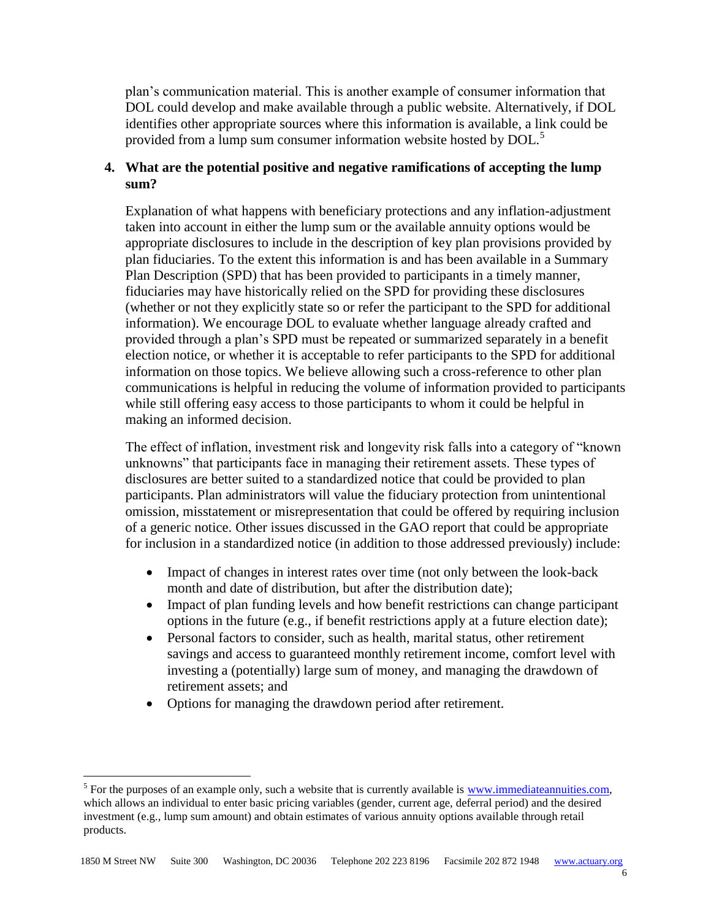plan's communication material. This is another example of consumer information that DOL could develop and make available through a public website. Alternatively, if DOL identifies other appropriate sources where this information is available, a link could be provided from a lump sum consumer information website hosted by DOL.<sup>5</sup>

## **4. What are the potential positive and negative ramifications of accepting the lump sum?**

Explanation of what happens with beneficiary protections and any inflation-adjustment taken into account in either the lump sum or the available annuity options would be appropriate disclosures to include in the description of key plan provisions provided by plan fiduciaries. To the extent this information is and has been available in a Summary Plan Description (SPD) that has been provided to participants in a timely manner, fiduciaries may have historically relied on the SPD for providing these disclosures (whether or not they explicitly state so or refer the participant to the SPD for additional information). We encourage DOL to evaluate whether language already crafted and provided through a plan's SPD must be repeated or summarized separately in a benefit election notice, or whether it is acceptable to refer participants to the SPD for additional information on those topics. We believe allowing such a cross-reference to other plan communications is helpful in reducing the volume of information provided to participants while still offering easy access to those participants to whom it could be helpful in making an informed decision.

The effect of inflation, investment risk and longevity risk falls into a category of "known unknowns" that participants face in managing their retirement assets. These types of disclosures are better suited to a standardized notice that could be provided to plan participants. Plan administrators will value the fiduciary protection from unintentional omission, misstatement or misrepresentation that could be offered by requiring inclusion of a generic notice. Other issues discussed in the GAO report that could be appropriate for inclusion in a standardized notice (in addition to those addressed previously) include:

- Impact of changes in interest rates over time (not only between the look-back month and date of distribution, but after the distribution date);
- Impact of plan funding levels and how benefit restrictions can change participant options in the future (e.g., if benefit restrictions apply at a future election date);
- Personal factors to consider, such as health, marital status, other retirement savings and access to guaranteed monthly retirement income, comfort level with investing a (potentially) large sum of money, and managing the drawdown of retirement assets; and
- Options for managing the drawdown period after retirement.

 $\overline{a}$ 

<sup>&</sup>lt;sup>5</sup> For the purposes of an example only, such a website that is currently available is  $\frac{www.immediateannuities.com,}{www.immediateannuities.com,}$ which allows an individual to enter basic pricing variables (gender, current age, deferral period) and the desired investment (e.g., lump sum amount) and obtain estimates of various annuity options available through retail products.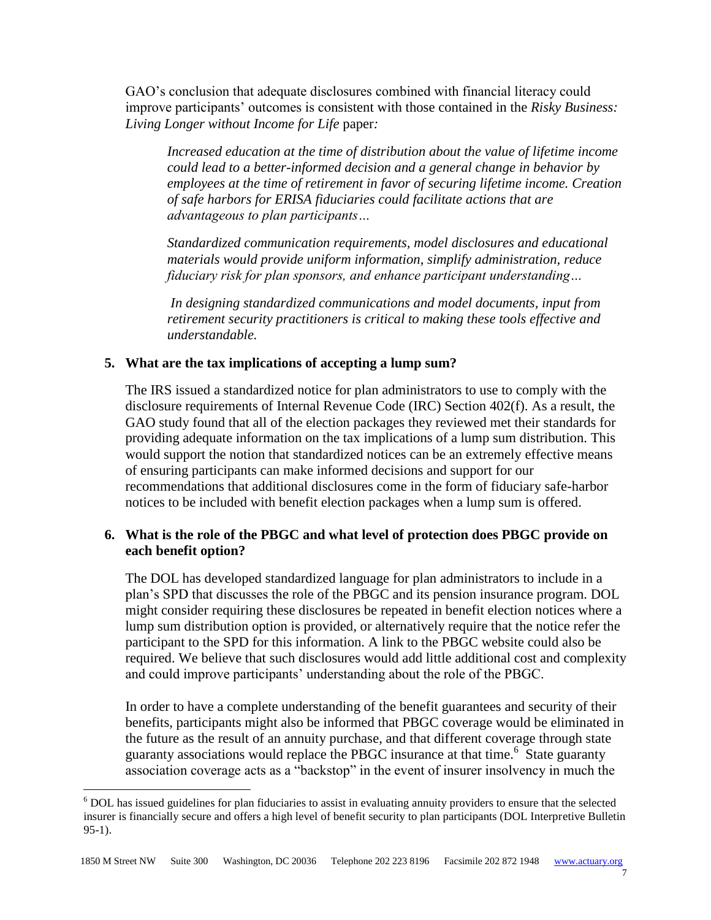GAO's conclusion that adequate disclosures combined with financial literacy could improve participants' outcomes is consistent with those contained in the *Risky Business: Living Longer without Income for Life* paper*:*

*Increased education at the time of distribution about the value of lifetime income could lead to a better-informed decision and a general change in behavior by employees at the time of retirement in favor of securing lifetime income. Creation of safe harbors for ERISA fiduciaries could facilitate actions that are advantageous to plan participants…* 

*Standardized communication requirements, model disclosures and educational materials would provide uniform information, simplify administration, reduce fiduciary risk for plan sponsors, and enhance participant understanding…*

*In designing standardized communications and model documents, input from retirement security practitioners is critical to making these tools effective and understandable.*

## **5. What are the tax implications of accepting a lump sum?**

The IRS issued a standardized notice for plan administrators to use to comply with the disclosure requirements of Internal Revenue Code (IRC) Section 402(f). As a result, the GAO study found that all of the election packages they reviewed met their standards for providing adequate information on the tax implications of a lump sum distribution. This would support the notion that standardized notices can be an extremely effective means of ensuring participants can make informed decisions and support for our recommendations that additional disclosures come in the form of fiduciary safe-harbor notices to be included with benefit election packages when a lump sum is offered.

## **6. What is the role of the PBGC and what level of protection does PBGC provide on each benefit option?**

The DOL has developed standardized language for plan administrators to include in a plan's SPD that discusses the role of the PBGC and its pension insurance program. DOL might consider requiring these disclosures be repeated in benefit election notices where a lump sum distribution option is provided, or alternatively require that the notice refer the participant to the SPD for this information. A link to the PBGC website could also be required. We believe that such disclosures would add little additional cost and complexity and could improve participants' understanding about the role of the PBGC.

In order to have a complete understanding of the benefit guarantees and security of their benefits, participants might also be informed that PBGC coverage would be eliminated in the future as the result of an annuity purchase, and that different coverage through state guaranty associations would replace the PBGC insurance at that time.<sup>6</sup> State guaranty association coverage acts as a "backstop" in the event of insurer insolvency in much the

 $\overline{a}$ 

.<br>7

<sup>&</sup>lt;sup>6</sup> DOL has issued guidelines for plan fiduciaries to assist in evaluating annuity providers to ensure that the selected insurer is financially secure and offers a high level of benefit security to plan participants (DOL Interpretive Bulletin 95-1).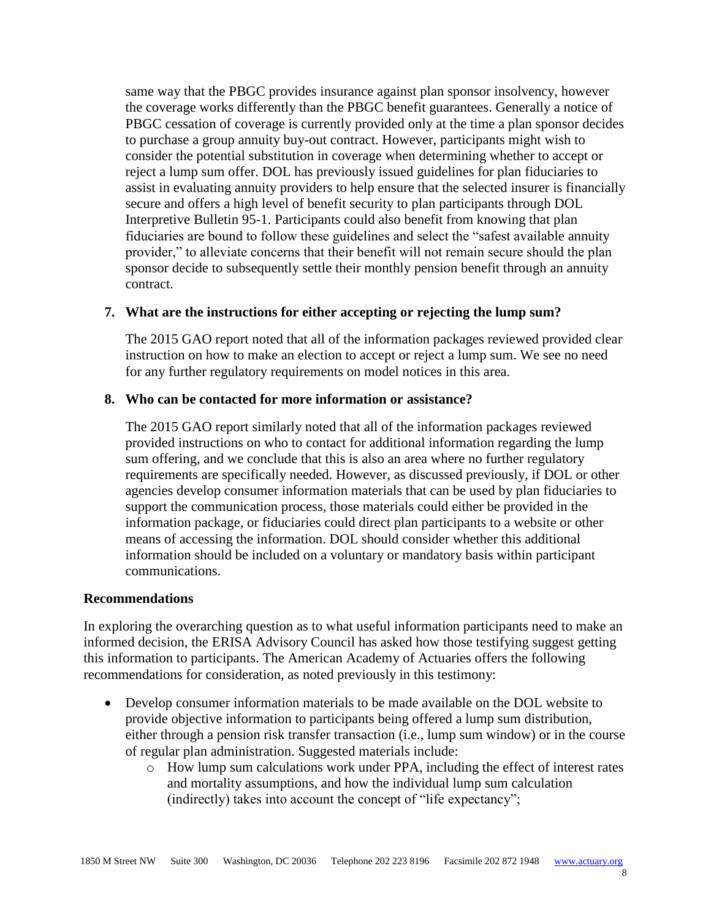same way that the PBGC provides insurance against plan sponsor insolvency, however the coverage works differently than the PBGC benefit guarantees. Generally a notice of PBGC cessation of coverage is currently provided only at the time a plan sponsor decides to purchase a group annuity buy-out contract. However, participants might wish to consider the potential substitution in coverage when determining whether to accept or reject a lump sum offer. DOL has previously issued guidelines for plan fiduciaries to assist in evaluating annuity providers to help ensure that the selected insurer is financially secure and offers a high level of benefit security to plan participants through DOL Interpretive Bulletin 95-1. Participants could also benefit from knowing that plan fiduciaries are bound to follow these guidelines and select the "safest available annuity provider," to alleviate concerns that their benefit will not remain secure should the plan sponsor decide to subsequently settle their monthly pension benefit through an annuity contract.

#### **7. What are the instructions for either accepting or rejecting the lump sum?**

The 2015 GAO report noted that all of the information packages reviewed provided clear instruction on how to make an election to accept or reject a lump sum. We see no need for any further regulatory requirements on model notices in this area.

#### **8. Who can be contacted for more information or assistance?**

The 2015 GAO report similarly noted that all of the information packages reviewed provided instructions on who to contact for additional information regarding the lump sum offering, and we conclude that this is also an area where no further regulatory requirements are specifically needed. However, as discussed previously, if DOL or other agencies develop consumer information materials that can be used by plan fiduciaries to support the communication process, those materials could either be provided in the information package, or fiduciaries could direct plan participants to a website or other means of accessing the information. DOL should consider whether this additional information should be included on a voluntary or mandatory basis within participant communications.

#### **Recommendations**

In exploring the overarching question as to what useful information participants need to make an informed decision, the ERISA Advisory Council has asked how those testifying suggest getting this information to participants. The American Academy of Actuaries offers the following recommendations for consideration, as noted previously in this testimony:

- Develop consumer information materials to be made available on the DOL website to provide objective information to participants being offered a lump sum distribution, either through a pension risk transfer transaction (i.e., lump sum window) or in the course of regular plan administration. Suggested materials include:
	- o How lump sum calculations work under PPA, including the effect of interest rates and mortality assumptions, and how the individual lump sum calculation (indirectly) takes into account the concept of "life expectancy";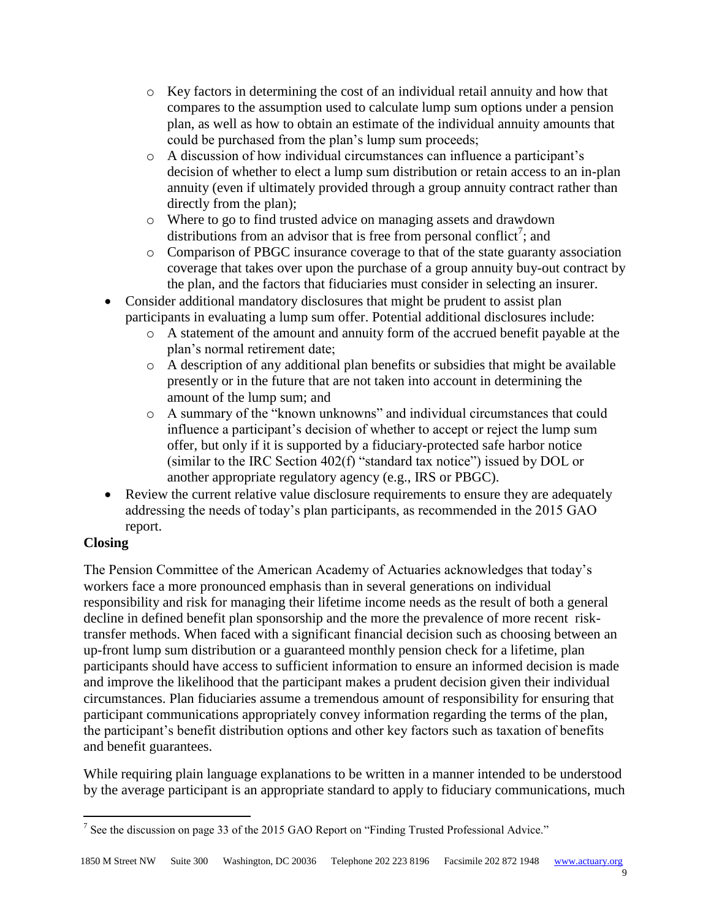- o Key factors in determining the cost of an individual retail annuity and how that compares to the assumption used to calculate lump sum options under a pension plan, as well as how to obtain an estimate of the individual annuity amounts that could be purchased from the plan's lump sum proceeds;
- o A discussion of how individual circumstances can influence a participant's decision of whether to elect a lump sum distribution or retain access to an in-plan annuity (even if ultimately provided through a group annuity contract rather than directly from the plan);
- o Where to go to find trusted advice on managing assets and drawdown distributions from an advisor that is free from personal conflict<sup>7</sup>; and
- o Comparison of PBGC insurance coverage to that of the state guaranty association coverage that takes over upon the purchase of a group annuity buy-out contract by the plan, and the factors that fiduciaries must consider in selecting an insurer.
- Consider additional mandatory disclosures that might be prudent to assist plan participants in evaluating a lump sum offer. Potential additional disclosures include:
	- o A statement of the amount and annuity form of the accrued benefit payable at the plan's normal retirement date;
	- o A description of any additional plan benefits or subsidies that might be available presently or in the future that are not taken into account in determining the amount of the lump sum; and
	- o A summary of the "known unknowns" and individual circumstances that could influence a participant's decision of whether to accept or reject the lump sum offer, but only if it is supported by a fiduciary-protected safe harbor notice (similar to the IRC Section 402(f) "standard tax notice") issued by DOL or another appropriate regulatory agency (e.g., IRS or PBGC).
- Review the current relative value disclosure requirements to ensure they are adequately addressing the needs of today's plan participants, as recommended in the 2015 GAO report.

# **Closing**

The Pension Committee of the American Academy of Actuaries acknowledges that today's workers face a more pronounced emphasis than in several generations on individual responsibility and risk for managing their lifetime income needs as the result of both a general decline in defined benefit plan sponsorship and the more the prevalence of more recent risktransfer methods. When faced with a significant financial decision such as choosing between an up-front lump sum distribution or a guaranteed monthly pension check for a lifetime, plan participants should have access to sufficient information to ensure an informed decision is made and improve the likelihood that the participant makes a prudent decision given their individual circumstances. Plan fiduciaries assume a tremendous amount of responsibility for ensuring that participant communications appropriately convey information regarding the terms of the plan, the participant's benefit distribution options and other key factors such as taxation of benefits and benefit guarantees.

While requiring plain language explanations to be written in a manner intended to be understood by the average participant is an appropriate standard to apply to fiduciary communications, much

 $\overline{a}$ <sup>7</sup> See the discussion on page 33 of the 2015 GAO Report on "Finding Trusted Professional Advice."